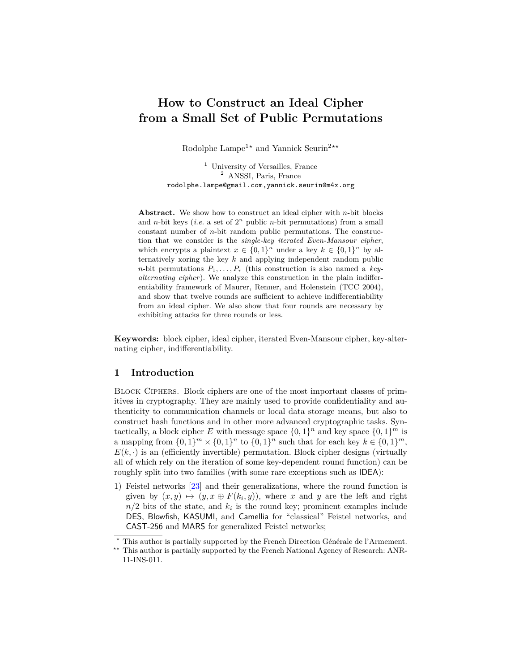# **How to Construct an Ideal Cipher from a Small Set of Public Permutations**

Rodolphe Lampe<sup>1\*</sup> and Yannick Seurin<sup>2\*\*</sup>

<sup>1</sup> University of Versailles, France <sup>2</sup> ANSSI, Paris, France rodolphe.lampe@gmail.com,yannick.seurin@m4x.org

**Abstract.** We show how to construct an ideal cipher with *n*-bit blocks and *n*-bit keys (*i.e.* a set of  $2<sup>n</sup>$  public *n*-bit permutations) from a small constant number of *n*-bit random public permutations. The construction that we consider is the *single-key iterated Even-Mansour cipher*, which encrypts a plaintext  $x \in \{0,1\}^n$  under a key  $k \in \{0,1\}^n$  by alternatively xoring the key *k* and applying independent random public *n*-bit permutations  $P_1, \ldots, P_r$  (this construction is also named a *keyalternating cipher*). We analyze this construction in the plain indifferentiability framework of Maurer, Renner, and Holenstein (TCC 2004), and show that twelve rounds are sufficient to achieve indifferentiability from an ideal cipher. We also show that four rounds are necessary by exhibiting attacks for three rounds or less.

**Keywords:** block cipher, ideal cipher, iterated Even-Mansour cipher, key-alternating cipher, indifferentiability.

# **1 Introduction**

Block Ciphers. Block ciphers are one of the most important classes of primitives in cryptography. They are mainly used to provide confidentiality and authenticity to communication channels or local data storage means, but also to construct hash functions and in other more advanced cryptographic tasks. Syntactically, a block cipher E with message space  $\{0,1\}^n$  and key space  $\{0,1\}^m$  is a mapping from  $\{0,1\}^m \times \{0,1\}^n$  to  $\{0,1\}^n$  such that for each key  $k \in \{0,1\}^m$ ,  $E(k, \cdot)$  is an (efficiently invertible) permutation. Block cipher designs (virtually all of which rely on the iteration of some key-dependent round function) can be roughly split into two families (with some rare exceptions such as IDEA):

1) Feistel networks [\[23\]](#page-17-0) and their generalizations, where the round function is given by  $(x, y) \mapsto (y, x \oplus F(k_i, y))$ , where *x* and *y* are the left and right  $n/2$  bits of the state, and  $k_i$  is the round key; prominent examples include DES, Blowfish, KASUMI, and Camellia for "classical" Feistel networks, and CAST-256 and MARS for generalized Feistel networks;

*<sup>?</sup>* This author is partially supported by the French Direction Générale de l'Armement.

<sup>&</sup>lt;sup>\*\*</sup> This author is partially supported by the French National Agency of Research: ANR-11-INS-011.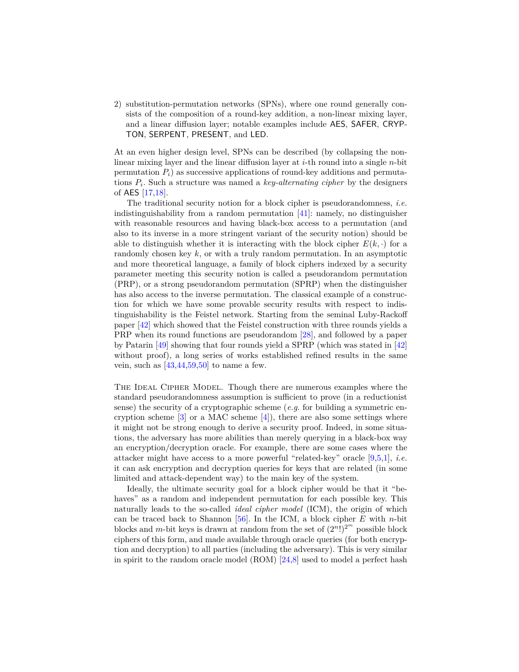2) substitution-permutation networks (SPNs), where one round generally consists of the composition of a round-key addition, a non-linear mixing layer, and a linear diffusion layer; notable examples include AES, SAFER, CRYP-TON, SERPENT, PRESENT, and LED.

At an even higher design level, SPNs can be described (by collapsing the nonlinear mixing layer and the linear diffusion layer at *i*-th round into a single *n*-bit permutation  $P_i$  as successive applications of round-key additions and permutations *P<sup>i</sup>* . Such a structure was named a *key-alternating cipher* by the designers of AES [\[17](#page-17-1)[,18\]](#page-17-2).

The traditional security notion for a block cipher is pseudorandomness, *i.e.* indistinguishability from a random permutation [\[41\]](#page-18-0): namely, no distinguisher with reasonable resources and having black-box access to a permutation (and also to its inverse in a more stringent variant of the security notion) should be able to distinguish whether it is interacting with the block cipher  $E(k, \cdot)$  for a randomly chosen key *k*, or with a truly random permutation. In an asymptotic and more theoretical language, a family of block ciphers indexed by a security parameter meeting this security notion is called a pseudorandom permutation (PRP), or a strong pseudorandom permutation (SPRP) when the distinguisher has also access to the inverse permutation. The classical example of a construction for which we have some provable security results with respect to indistinguishability is the Feistel network. Starting from the seminal Luby-Rackoff paper [\[42\]](#page-18-1) which showed that the Feistel construction with three rounds yields a PRP when its round functions are pseudorandom [\[28\]](#page-17-3), and followed by a paper by Patarin [\[49\]](#page-19-0) showing that four rounds yield a SPRP (which was stated in [\[42\]](#page-18-1) without proof), a long series of works established refined results in the same vein, such as  $[43, 44, 59, 50]$  $[43, 44, 59, 50]$  $[43, 44, 59, 50]$  $[43, 44, 59, 50]$  to name a few.

THE IDEAL CIPHER MODEL. Though there are numerous examples where the standard pseudorandomness assumption is sufficient to prove (in a reductionist sense) the security of a cryptographic scheme (*e.g.* for building a symmetric encryption scheme  $[3]$  or a MAC scheme  $[4]$ , there are also some settings where it might not be strong enough to derive a security proof. Indeed, in some situations, the adversary has more abilities than merely querying in a black-box way an encryption/decryption oracle. For example, there are some cases where the attacker might have access to a more powerful "related-key" oracle [\[9,](#page-16-2)[5,](#page-16-3)[1\]](#page-16-4), *i.e.* it can ask encryption and decryption queries for keys that are related (in some limited and attack-dependent way) to the main key of the system.

Ideally, the ultimate security goal for a block cipher would be that it "behaves" as a random and independent permutation for each possible key. This naturally leads to the so-called *ideal cipher model* (ICM), the origin of which can be traced back to Shannon  $[56]$ . In the ICM, a block cipher *E* with *n*-bit blocks and *m*-bit keys is drawn at random from the set of  $(2^n!)^{2^m}$  possible block ciphers of this form, and made available through oracle queries (for both encryption and decryption) to all parties (including the adversary). This is very similar in spirit to the random oracle model (ROM) [\[24](#page-17-4)[,8\]](#page-16-5) used to model a perfect hash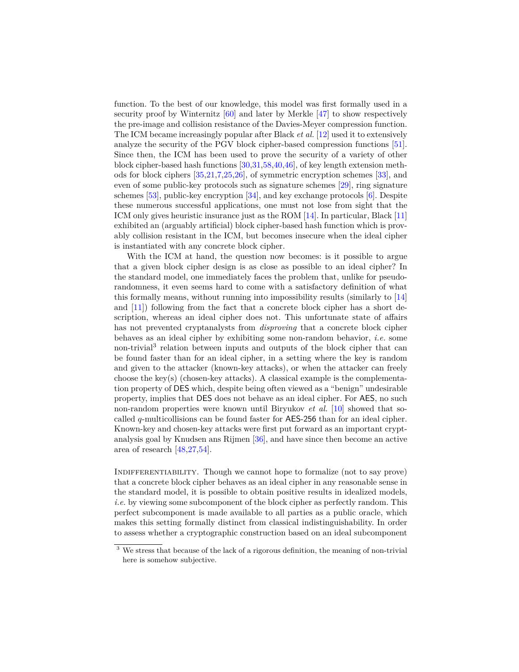function. To the best of our knowledge, this model was first formally used in a security proof by Winternitz  $[60]$  and later by Merkle  $[47]$  to show respectively the pre-image and collision resistance of the Davies-Meyer compression function. The ICM became increasingly popular after Black *et al.* [\[12\]](#page-16-6) used it to extensively analyze the security of the PGV block cipher-based compression functions [\[51\]](#page-19-6). Since then, the ICM has been used to prove the security of a variety of other block cipher-based hash functions [\[30,](#page-18-4)[31,](#page-18-5)[58](#page-19-7)[,40,](#page-18-6)[46\]](#page-19-8), of key length extension methods for block ciphers [\[35,](#page-18-7)[21,](#page-17-5)[7](#page-16-7)[,25,](#page-17-6)[26\]](#page-17-7), of symmetric encryption schemes [\[33\]](#page-18-8), and even of some public-key protocols such as signature schemes [\[29\]](#page-17-8), ring signature schemes [\[53\]](#page-19-9), public-key encryption [\[34\]](#page-18-9), and key exchange protocols [\[6\]](#page-16-8). Despite these numerous successful applications, one must not lose from sight that the ICM only gives heuristic insurance just as the ROM [\[14\]](#page-17-9). In particular, Black [\[11\]](#page-16-9) exhibited an (arguably artificial) block cipher-based hash function which is provably collision resistant in the ICM, but becomes insecure when the ideal cipher is instantiated with any concrete block cipher.

With the ICM at hand, the question now becomes: is it possible to argue that a given block cipher design is as close as possible to an ideal cipher? In the standard model, one immediately faces the problem that, unlike for pseudorandomness, it even seems hard to come with a satisfactory definition of what this formally means, without running into impossibility results (similarly to [\[14\]](#page-17-9) and [\[11\]](#page-16-9)) following from the fact that a concrete block cipher has a short description, whereas an ideal cipher does not. This unfortunate state of affairs has not prevented cryptanalysts from *disproving* that a concrete block cipher behaves as an ideal cipher by exhibiting some non-random behavior, *i.e.* some non-trivial<sup>3</sup> relation between inputs and outputs of the block cipher that can be found faster than for an ideal cipher, in a setting where the key is random and given to the attacker (known-key attacks), or when the attacker can freely choose the key(s) (chosen-key attacks). A classical example is the complementation property of DES which, despite being often viewed as a "benign" undesirable property, implies that DES does not behave as an ideal cipher. For AES, no such non-random properties were known until Biryukov *et al.* [\[10\]](#page-16-10) showed that socalled *q*-multicollisions can be found faster for AES-256 than for an ideal cipher. Known-key and chosen-key attacks were first put forward as an important cryptanalysis goal by Knudsen ans Rijmen [\[36\]](#page-18-10), and have since then become an active area of research [\[48,](#page-19-10)[27,](#page-17-10)[54\]](#page-19-11).

INDIFFERENTIABILITY. Though we cannot hope to formalize (not to say prove) that a concrete block cipher behaves as an ideal cipher in any reasonable sense in the standard model, it is possible to obtain positive results in idealized models, *i.e.* by viewing some subcomponent of the block cipher as perfectly random. This perfect subcomponent is made available to all parties as a public oracle, which makes this setting formally distinct from classical indistinguishability. In order to assess whether a cryptographic construction based on an ideal subcomponent

<sup>&</sup>lt;sup>3</sup> We stress that because of the lack of a rigorous definition, the meaning of non-trivial here is somehow subjective.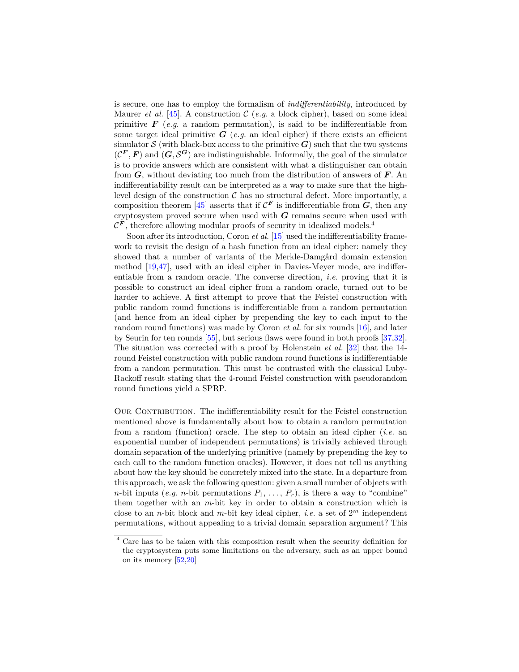is secure, one has to employ the formalism of *indifferentiability*, introduced by Maurer *et al.* [\[45\]](#page-19-12). A construction  $C$  (*e.g.* a block cipher), based on some ideal primitive  $\bf{F}$  (*e.g.* a random permutation), is said to be indifferentiable from some target ideal primitive  $G$  (*e.g.* an ideal cipher) if there exists an efficient simulator  $S$  (with black-box access to the primitive  $G$ ) such that the two systems  $(C^F, F)$  and  $(G, S^G)$  are indistinguishable. Informally, the goal of the simulator is to provide answers which are consistent with what a distinguisher can obtain from *G*, without deviating too much from the distribution of answers of *F*. An indifferentiability result can be interpreted as a way to make sure that the highlevel design of the construction  $C$  has no structural defect. More importantly, a composition theorem [\[45\]](#page-19-12) asserts that if  $\mathcal{C}^F$  is indifferentiable from  $G$ , then any cryptosystem proved secure when used with *G* remains secure when used with  $\mathcal{C}^F$ , therefore allowing modular proofs of security in idealized models.<sup>4</sup>

Soon after its introduction, Coron *et al.* [\[15\]](#page-17-11) used the indifferentiability framework to revisit the design of a hash function from an ideal cipher: namely they showed that a number of variants of the Merkle-Damgård domain extension method [\[19](#page-17-12)[,47\]](#page-19-5), used with an ideal cipher in Davies-Meyer mode, are indifferentiable from a random oracle. The converse direction, *i.e.* proving that it is possible to construct an ideal cipher from a random oracle, turned out to be harder to achieve. A first attempt to prove that the Feistel construction with public random round functions is indifferentiable from a random permutation (and hence from an ideal cipher by prepending the key to each input to the random round functions) was made by Coron *et al.* for six rounds [\[16\]](#page-17-13), and later by Seurin for ten rounds [\[55\]](#page-19-13), but serious flaws were found in both proofs [\[37,](#page-18-11)[32\]](#page-18-12). The situation was corrected with a proof by Holenstein *et al.* [\[32\]](#page-18-12) that the 14 round Feistel construction with public random round functions is indifferentiable from a random permutation. This must be contrasted with the classical Luby-Rackoff result stating that the 4-round Feistel construction with pseudorandom round functions yield a SPRP.

OUR CONTRIBUTION. The indifferentiability result for the Feistel construction mentioned above is fundamentally about how to obtain a random permutation from a random (function) oracle. The step to obtain an ideal cipher (*i.e.* an exponential number of independent permutations) is trivially achieved through domain separation of the underlying primitive (namely by prepending the key to each call to the random function oracles). However, it does not tell us anything about how the key should be concretely mixed into the state. In a departure from this approach, we ask the following question: given a small number of objects with *n*-bit inputs (*e.g. n*-bit permutations  $P_1, \ldots, P_r$ ), is there a way to "combine" them together with an *m*-bit key in order to obtain a construction which is close to an *n*-bit block and *m*-bit key ideal cipher, *i.e.* a set of 2 *<sup>m</sup>* independent permutations, without appealing to a trivial domain separation argument? This

<sup>4</sup> Care has to be taken with this composition result when the security definition for the cryptosystem puts some limitations on the adversary, such as an upper bound on its memory [\[52,](#page-19-14)[20\]](#page-17-14)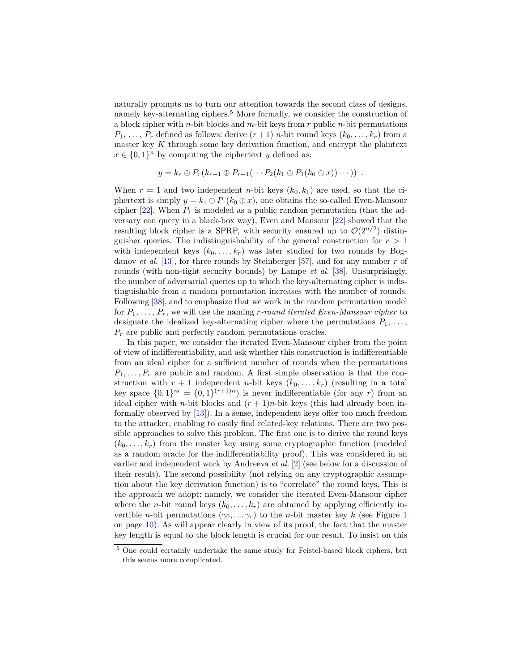naturally prompts us to turn our attention towards the second class of designs, namely key-alternating ciphers.<sup>5</sup> More formally, we consider the construction of a block cipher with *n*-bit blocks and *m*-bit keys from *r* public *n*-bit permutations  $P_1, \ldots, P_r$  defined as follows: derive  $(r+1)$  *n*-bit round keys  $(k_0, \ldots, k_r)$  from a master key *K* through some key derivation function, and encrypt the plaintext  $x \in \{0,1\}^n$  by computing the ciphertext *y* defined as:

$$
y = k_r \oplus P_r(k_{r-1} \oplus P_{r-1}(\cdots P_2(k_1 \oplus P_1(k_0 \oplus x))\cdots)).
$$

When  $r = 1$  and two independent *n*-bit keys  $(k_0, k_1)$  are used, so that the ciphertext is simply  $y = k_1 \oplus P_1(k_0 \oplus x)$ , one obtains the so-called Even-Mansour cipher  $[22]$ . When  $P_1$  is modeled as a public random permutation (that the adversary can query in a black-box way), Even and Mansour [\[22\]](#page-17-15) showed that the resulting block cipher is a SPRP, with security ensured up to  $\mathcal{O}(2^{n/2})$  distinguisher queries. The indistinguishability of the general construction for  $r > 1$ with independent keys  $(k_0, \ldots, k_r)$  was later studied for two rounds by Bogdanov *et al.* [\[13\]](#page-16-11), for three rounds by Steinberger [\[57\]](#page-19-15), and for any number *r* of rounds (with non-tight security bounds) by Lampe *et al.* [\[38\]](#page-18-13). Unsurprisingly, the number of adversarial queries up to which the key-alternating cipher is indistinguishable from a random permutation increases with the number of rounds. Following [\[38\]](#page-18-13), and to emphasize that we work in the random permutation model for  $P_1, \ldots, P_r$ , we will use the naming *r*-round iterated Even-Mansour cipher to designate the idealized key-alternating cipher where the permutations  $P_1, \ldots,$ *P<sup>r</sup>* are public and perfectly random permutations oracles.

In this paper, we consider the iterated Even-Mansour cipher from the point of view of indifferentiability, and ask whether this construction is indifferentiable from an ideal cipher for a sufficient number of rounds when the permutations  $P_1, \ldots, P_r$  are public and random. A first simple observation is that the construction with  $r + 1$  independent *n*-bit keys  $(k_0, \ldots, k_r)$  (resulting in a total key space  $\{0,1\}^m = \{0,1\}^{(r+1)n}$  is never indifferentiable (for any *r*) from an ideal cipher with *n*-bit blocks and  $(r + 1)n$ -bit keys (this had already been informally observed by [\[13\]](#page-16-11)). In a sense, independent keys offer too much freedom to the attacker, enabling to easily find related-key relations. There are two possible approaches to solve this problem. The first one is to derive the round keys  $(k_0, \ldots, k_r)$  from the master key using some cryptographic function (modeled as a random oracle for the indifferentiability proof). This was considered in an earlier and independent work by Andreeva *et al.* [\[2\]](#page-16-12) (see below for a discussion of their result). The second possibility (not relying on any cryptographic assumption about the key derivation function) is to "correlate" the round keys. This is the approach we adopt: namely, we consider the iterated Even-Mansour cipher where the *n*-bit round keys  $(k_0, \ldots, k_r)$  are obtained by applying efficiently invertible *n*-bit permutations  $(\gamma_0, \dots \gamma_r)$  to the *n*-bit master key *k* (see Figure [1](#page-9-0)) on page [10\)](#page-9-0). As will appear clearly in view of its proof, the fact that the master key length is equal to the block length is crucial for our result. To insist on this

<sup>5</sup> One could certainly undertake the same study for Feistel-based block ciphers, but this seems more complicated.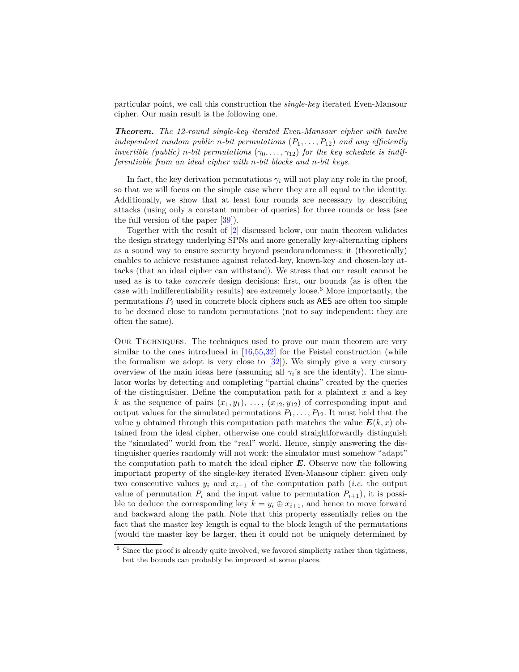particular point, we call this construction the *single-key* iterated Even-Mansour cipher. Our main result is the following one.

*Theorem. The 12-round single-key iterated Even-Mansour cipher with twelve independent random public n-bit permutations*  $(P_1, \ldots, P_{12})$  *and any efficiently invertible (public) n*-bit permutations  $(\gamma_0, \ldots, \gamma_{12})$  for the key schedule is indif*ferentiable from an ideal cipher with n-bit blocks and n-bit keys.*

In fact, the key derivation permutations  $\gamma_i$  will not play any role in the proof, so that we will focus on the simple case where they are all equal to the identity. Additionally, we show that at least four rounds are necessary by describing attacks (using only a constant number of queries) for three rounds or less (see the full version of the paper [\[39\]](#page-18-14)).

Together with the result of [\[2\]](#page-16-12) discussed below, our main theorem validates the design strategy underlying SPNs and more generally key-alternating ciphers as a sound way to ensure security beyond pseudorandomness: it (theoretically) enables to achieve resistance against related-key, known-key and chosen-key attacks (that an ideal cipher can withstand). We stress that our result cannot be used as is to take *concrete* design decisions: first, our bounds (as is often the case with indifferentiability results) are extremely loose.<sup>6</sup> More importantly, the permutations  $P_i$  used in concrete block ciphers such as  $\overline{AES}$  are often too simple to be deemed close to random permutations (not to say independent: they are often the same).

Our Techniques. The techniques used to prove our main theorem are very similar to the ones introduced in  $[16,55,32]$  $[16,55,32]$  $[16,55,32]$  for the Feistel construction (while the formalism we adopt is very close to  $[32]$ . We simply give a very cursory overview of the main ideas here (assuming all  $\gamma_i$ 's are the identity). The simulator works by detecting and completing "partial chains" created by the queries of the distinguisher. Define the computation path for a plaintext *x* and a key *k* as the sequence of pairs  $(x_1, y_1), \ldots, (x_{12}, y_{12})$  of corresponding input and output values for the simulated permutations  $P_1, \ldots, P_{12}$ . It must hold that the value *y* obtained through this computation path matches the value  $E(k, x)$  obtained from the ideal cipher, otherwise one could straightforwardly distinguish the "simulated" world from the "real" world. Hence, simply answering the distinguisher queries randomly will not work: the simulator must somehow "adapt" the computation path to match the ideal cipher *E*. Observe now the following important property of the single-key iterated Even-Mansour cipher: given only two consecutive values  $y_i$  and  $x_{i+1}$  of the computation path (*i.e.* the output value of permutation  $P_i$  and the input value to permutation  $P_{i+1}$ , it is possible to deduce the corresponding key  $k = y_i \oplus x_{i+1}$ , and hence to move forward and backward along the path. Note that this property essentially relies on the fact that the master key length is equal to the block length of the permutations (would the master key be larger, then it could not be uniquely determined by

 $6$  Since the proof is already quite involved, we favored simplicity rather than tightness, but the bounds can probably be improved at some places.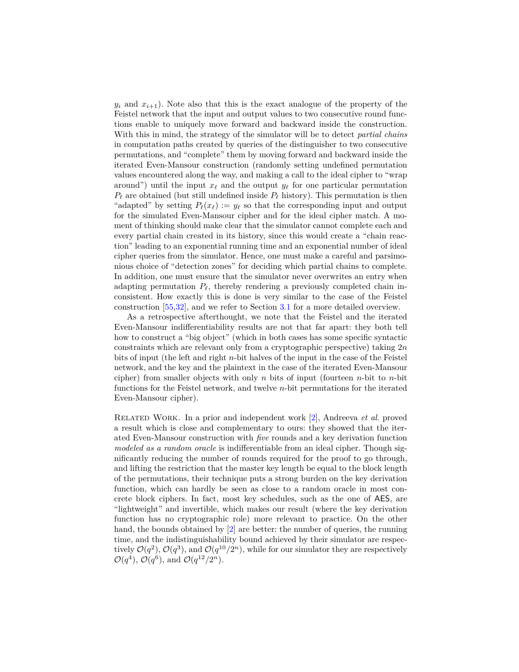$y_i$  and  $x_{i+1}$ ). Note also that this is the exact analogue of the property of the Feistel network that the input and output values to two consecutive round functions enable to uniquely move forward and backward inside the construction. With this in mind, the strategy of the simulator will be to detect *partial chains* in computation paths created by queries of the distinguisher to two consecutive permutations, and "complete" them by moving forward and backward inside the iterated Even-Mansour construction (randomly setting undefined permutation values encountered along the way, and making a call to the ideal cipher to "wrap around") until the input  $x_\ell$  and the output  $y_\ell$  for one particular permutation  $P_\ell$  are obtained (but still undefined inside  $P_\ell$  history). This permutation is then "adapted" by setting  $P_\ell(x_\ell) := y_\ell$  so that the corresponding input and output for the simulated Even-Mansour cipher and for the ideal cipher match. A moment of thinking should make clear that the simulator cannot complete each and every partial chain created in its history, since this would create a "chain reaction" leading to an exponential running time and an exponential number of ideal cipher queries from the simulator. Hence, one must make a careful and parsimonious choice of "detection zones" for deciding which partial chains to complete. In addition, one must ensure that the simulator never overwrites an entry when adapting permutation  $P_\ell$ , thereby rendering a previously completed chain inconsistent. How exactly this is done is very similar to the case of the Feistel construction [\[55,](#page-19-13)[32\]](#page-18-12), and we refer to Section [3.1](#page-9-1) for a more detailed overview.

As a retrospective afterthought, we note that the Feistel and the iterated Even-Mansour indifferentiability results are not that far apart: they both tell how to construct a "big object" (which in both cases has some specific syntactic constraints which are relevant only from a cryptographic perspective) taking 2*n* bits of input (the left and right *n*-bit halves of the input in the case of the Feistel network, and the key and the plaintext in the case of the iterated Even-Mansour cipher) from smaller objects with only *n* bits of input (fourteen *n*-bit to *n*-bit functions for the Feistel network, and twelve *n*-bit permutations for the iterated Even-Mansour cipher).

Related Work. In a prior and independent work [\[2\]](#page-16-12), Andreeva *et al.* proved a result which is close and complementary to ours: they showed that the iterated Even-Mansour construction with *five* rounds and a key derivation function *modeled as a random oracle* is indifferentiable from an ideal cipher. Though significantly reducing the number of rounds required for the proof to go through, and lifting the restriction that the master key length be equal to the block length of the permutations, their technique puts a strong burden on the key derivation function, which can hardly be seen as close to a random oracle in most concrete block ciphers. In fact, most key schedules, such as the one of AES, are "lightweight" and invertible, which makes our result (where the key derivation function has no cryptographic role) more relevant to practice. On the other hand, the bounds obtained by [\[2\]](#page-16-12) are better: the number of queries, the running time, and the indistinguishability bound achieved by their simulator are respectively  $\mathcal{O}(q^2)$ ,  $\mathcal{O}(q^3)$ , and  $\mathcal{O}(q^{10}/2^n)$ , while for our simulator they are respectively  $\mathcal{O}(q^4)$ ,  $\mathcal{O}(q^6)$ , and  $\mathcal{O}(q^{12}/2^n)$ .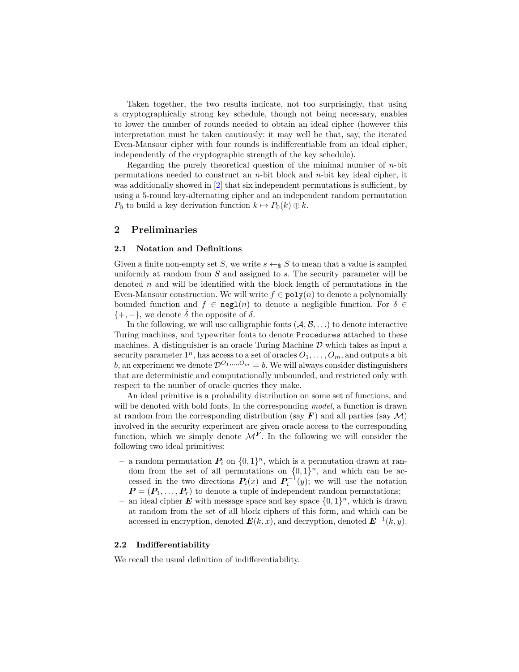Taken together, the two results indicate, not too surprisingly, that using a cryptographically strong key schedule, though not being necessary, enables to lower the number of rounds needed to obtain an ideal cipher (however this interpretation must be taken cautiously: it may well be that, say, the iterated Even-Mansour cipher with four rounds is indifferentiable from an ideal cipher, independently of the cryptographic strength of the key schedule).

Regarding the purely theoretical question of the minimal number of *n*-bit permutations needed to construct an *n*-bit block and *n*-bit key ideal cipher, it was additionally showed in  $[2]$  that six independent permutations is sufficient, by using a 5-round key-alternating cipher and an independent random permutation *P*<sub>0</sub> to build a key derivation function  $k \mapsto P_0(k) \oplus k$ .

## **2 Preliminaries**

#### **2.1 Notation and Definitions**

Given a finite non-empty set *S*, we write  $s \leftarrow s S$  to mean that a value is sampled uniformly at random from *S* and assigned to *s*. The security parameter will be denoted *n* and will be identified with the block length of permutations in the Even-Mansour construction. We will write  $f \in \text{poly}(n)$  to denote a polynomially bounded function and  $f \in neg1(n)$  to denote a negligible function. For  $\delta \in$  $\{+, -\}$ , we denote  $\delta$  the opposite of  $\delta$ .

In the following, we will use calligraphic fonts  $(A, B, \ldots)$  to denote interactive Turing machines, and typewriter fonts to denote Procedures attached to these machines. A distinguisher is an oracle Turing Machine  $D$  which takes as input a security parameter  $1^n$ , has access to a set of oracles  $O_1, \ldots, O_m$ , and outputs a bit *b*, an experiment we denote  $\mathcal{D}^{O_1,...,O_m} = b$ . We will always consider distinguishers that are deterministic and computationally unbounded, and restricted only with respect to the number of oracle queries they make.

An ideal primitive is a probability distribution on some set of functions, and will be denoted with bold fonts. In the corresponding *model*, a function is drawn at random from the corresponding distribution (say  $\bm{F}$ ) and all parties (say  $\mathcal{M}$ ) involved in the security experiment are given oracle access to the corresponding function, which we simply denote  $\mathcal{M}^F$ . In the following we will consider the following two ideal primitives:

- **–** a random permutation *P<sup>i</sup>* on {0*,* 1} *<sup>n</sup>*, which is a permutation drawn at random from the set of all permutations on  $\{0,1\}^n$ , and which can be accessed in the two directions  $P_i(x)$  and  $P_i^{-1}(y)$ ; we will use the notation  $P = (P_1, \ldots, P_r)$  to denote a tuple of independent random permutations;
- **–** an ideal cipher *E* with message space and key space {0*,* 1} *<sup>n</sup>*, which is drawn at random from the set of all block ciphers of this form, and which can be accessed in encryption, denoted  $E(k, x)$ , and decryption, denoted  $E^{-1}(k, y)$ .

### **2.2 Indifferentiability**

We recall the usual definition of indifferentiability.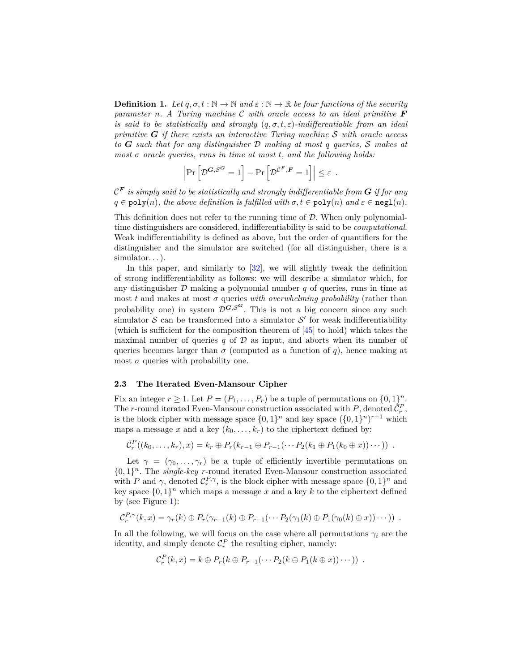**Definition 1.** Let  $q, \sigma, t : \mathbb{N} \to \mathbb{N}$  and  $\varepsilon : \mathbb{N} \to \mathbb{R}$  be four functions of the security *parameter n. A Turing machine* C *with oracle access to an ideal primitive F is said to be statistically and strongly* (*q, σ, t, ε*)*-indifferentiable from an ideal primitive G if there exists an interactive Turing machine* S *with oracle access to G such that for any distinguisher* D *making at most q queries,* S *makes at most σ oracle queries, runs in time at most t, and the following holds:*

$$
\left|\Pr\left[\mathcal{D}^{\bm{G},\mathcal{S}^{\bm{G}}}=1\right]-\Pr\left[\mathcal{D}^{\mathcal{C}^{\bm{F}},\bm{F}}=1\right]\right|\leq\varepsilon\enspace.
$$

 $\mathcal{C}^{\boldsymbol{F}}$  *is simply said to be statistically and strongly indifferentiable from*  $\boldsymbol{G}$  *if for any*  $q \in \text{poly}(n)$ , the above definition is fulfilled with  $\sigma, t \in \text{poly}(n)$  and  $\varepsilon \in \text{negl}(n)$ .

This definition does not refer to the running time of  $D$ . When only polynomialtime distinguishers are considered, indifferentiability is said to be *computational*. Weak indifferentiability is defined as above, but the order of quantifiers for the distinguisher and the simulator are switched (for all distinguisher, there is a simulator...).

In this paper, and similarly to [\[32\]](#page-18-12), we will slightly tweak the definition of strong indifferentiability as follows: we will describe a simulator which, for any distinguisher  $D$  making a polynomial number  $q$  of queries, runs in time at most *t* and makes at most  $\sigma$  queries *with overwhelming probability* (rather than probability one) in system  $\mathcal{D}^{G,\mathcal{S}^G}$ . This is not a big concern since any such simulator  $S$  can be transformed into a simulator  $S'$  for weak indifferentiability (which is sufficient for the composition theorem of [\[45\]](#page-19-12) to hold) which takes the maximal number of queries  $q$  of  $\mathcal D$  as input, and aborts when its number of queries becomes larger than  $\sigma$  (computed as a function of *q*), hence making at most  $\sigma$  queries with probability one.

#### **2.3 The Iterated Even-Mansour Cipher**

Fix an integer  $r \geq 1$ . Let  $P = (P_1, \ldots, P_r)$  be a tuple of permutations on  $\{0, 1\}^n$ . The *r*-round iterated Even-Mansour construction associated with *P*, denoted  $\tilde{C}_r^P$ , is the block cipher with message space  $\{0,1\}^n$  and key space  $(\{0,1\}^n)^{r+1}$  which maps a message *x* and a key  $(k_0, \ldots, k_r)$  to the ciphertext defined by:

$$
\bar{C}_r^P((k_0,\ldots,k_r),x) = k_r \oplus P_r(k_{r-1} \oplus P_{r-1}(\cdots P_2(k_1 \oplus P_1(k_0 \oplus x))\cdots)) .
$$

Let  $\gamma = (\gamma_0, \ldots, \gamma_r)$  be a tuple of efficiently invertible permutations on  $\{0,1\}^n$ . The *single-key r*-round iterated Even-Mansour construction associated with *P* and  $\gamma$ , denoted  $C_r^{P,\gamma}$ , is the block cipher with message space  $\{0,1\}^n$  and key space  $\{0,1\}^n$  which maps a message x and a key k to the ciphertext defined by (see Figure [1\)](#page-9-0):

$$
C_r^{P,\gamma}(k,x)=\gamma_r(k)\oplus P_r(\gamma_{r-1}(k)\oplus P_{r-1}(\cdots P_2(\gamma_1(k)\oplus P_1(\gamma_0(k)\oplus x))\cdots))\ .
$$

In all the following, we will focus on the case where all permutations  $\gamma_i$  are the identity, and simply denote  $C_r^P$  the resulting cipher, namely:

$$
C_r^P(k,x) = k \oplus P_r(k \oplus P_{r-1}(\cdots P_2(k \oplus P_1(k \oplus x)) \cdots)).
$$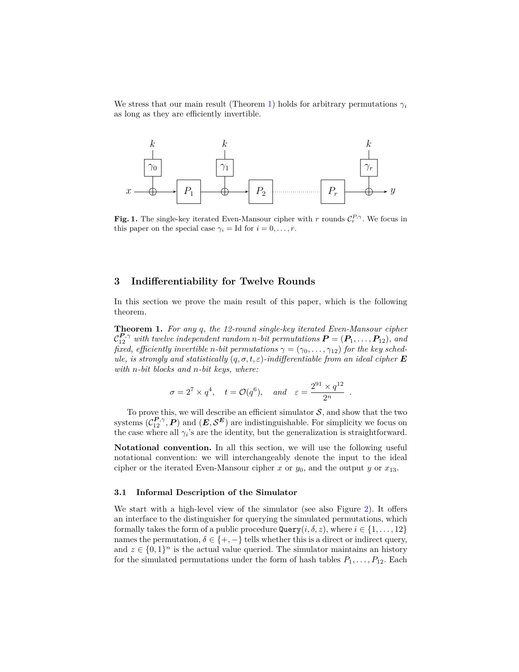We stress that our main result (Theorem [1\)](#page-9-2) holds for arbitrary permutations  $\gamma_i$ as long as they are efficiently invertible.



<span id="page-9-0"></span>**Fig. 1.** The single-key iterated Even-Mansour cipher with *r* rounds  $\mathcal{C}_r^{P,\gamma}$ . We focus in this paper on the special case  $\gamma_i = \text{Id}$  for  $i = 0, \ldots, r$ .

# **3 Indifferentiability for Twelve Rounds**

In this section we prove the main result of this paper, which is the following theorem.

<span id="page-9-2"></span>**Theorem 1.** *For any q, the 12-round single-key iterated Even-Mansour cipher*  $\mathcal{C}_{12}^{\mathbf{P},\gamma}$  with twelve independent random *n*-bit permutations  $\mathbf{P} = (\mathbf{P}_1,\ldots,\mathbf{P}_{12})$ , and *fixed, efficiently invertible n*-bit permutations  $\gamma = (\gamma_0, \ldots, \gamma_{12})$  for the key sched*ule, is strongly and statistically*  $(q, \sigma, t, \varepsilon)$ *-indifferentiable from an ideal cipher* **E** *with n-bit blocks and n-bit keys, where:*

$$
\sigma = 2^7 \times q^4
$$
,  $t = \mathcal{O}(q^6)$ , and  $\varepsilon = \frac{2^{91} \times q^{12}}{2^n}$ 

*.*

To prove this, we will describe an efficient simulator  $S$ , and show that the two systems  $(C_{12}^{P,\gamma}, P)$  and  $(E, S^E)$  are indistinguishable. For simplicity we focus on the case where all  $\gamma_i$ 's are the identity, but the generalization is straightforward.

**Notational convention.** In all this section, we will use the following useful notational convention: we will interchangeably denote the input to the ideal cipher or the iterated Even-Mansour cipher *x* or  $y_0$ , and the output *y* or  $x_{13}$ .

#### <span id="page-9-1"></span>**3.1 Informal Description of the Simulator**

We start with a high-level view of the simulator (see also Figure [2\)](#page-12-0). It offers an interface to the distinguisher for querying the simulated permutations, which formally takes the form of a public procedure  $\mathbb{Q}$ uery $(i, \delta, z)$ , where  $i \in \{1, \ldots, 12\}$ names the permutation,  $\delta \in \{+, -\}$  tells whether this is a direct or indirect query, and  $z \in \{0,1\}^n$  is the actual value queried. The simulator maintains an history for the simulated permutations under the form of hash tables  $P_1, \ldots, P_{12}$ . Each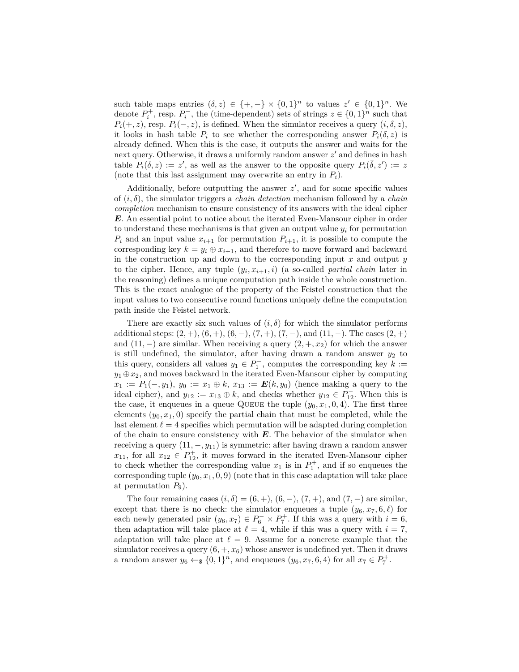such table maps entries  $(\delta, z) \in \{+, -\} \times \{0, 1\}^n$  to values  $z' \in \{0, 1\}^n$ . We denote  $P_i^+$ , resp.  $P_i^-$ , the (time-dependent) sets of strings  $z \in \{0,1\}^n$  such that  $P_i(+, z)$ , resp.  $P_i(-, z)$ , is defined. When the simulator receives a query  $(i, \delta, z)$ , it looks in hash table  $P_i$  to see whether the corresponding answer  $P_i(\delta, z)$  is already defined. When this is the case, it outputs the answer and waits for the next query. Otherwise, it draws a uniformly random answer  $z'$  and defines in hash table  $P_i(\delta, z) := z'$ , as well as the answer to the opposite query  $P_i(\bar{\delta}, z') := z'$ (note that this last assignment may overwrite an entry in  $P_i$ ).

Additionally, before outputting the answer  $z'$ , and for some specific values of (*i, δ*), the simulator triggers a *chain detection* mechanism followed by a *chain completion* mechanism to ensure consistency of its answers with the ideal cipher *E*. An essential point to notice about the iterated Even-Mansour cipher in order to understand these mechanisms is that given an output value  $y_i$  for permutation  $P_i$  and an input value  $x_{i+1}$  for permutation  $P_{i+1}$ , it is possible to compute the corresponding key  $k = y_i \oplus x_{i+1}$ , and therefore to move forward and backward in the construction up and down to the corresponding input *x* and output *y* to the cipher. Hence, any tuple  $(y_i, x_{i+1}, i)$  (a so-called *partial chain* later in the reasoning) defines a unique computation path inside the whole construction. This is the exact analogue of the property of the Feistel construction that the input values to two consecutive round functions uniquely define the computation path inside the Feistel network.

There are exactly six such values of  $(i, \delta)$  for which the simulator performs additional steps:  $(2, +), (6, +), (6, -), (7, +), (7, -),$  and  $(11, -)$ . The cases  $(2, +)$ and  $(11, -)$  are similar. When receiving a query  $(2, +, x_2)$  for which the answer is still undefined, the simulator, after having drawn a random answer  $y_2$  to this query, considers all values  $y_1 \in P_1^-$ , computes the corresponding key  $k :=$  $y_1 \oplus x_2$ , and moves backward in the iterated Even-Mansour cipher by computing *x*<sub>1</sub> := *P*<sub>1</sub>(−*, y*<sub>1</sub>), *y*<sub>0</sub> := *x*<sub>1</sub> ⊕ *k*, *x*<sub>13</sub> := *<i>E*(*k*, *y*<sub>0</sub>) (hence making a query to the ideal cipher), and  $y_{12} := x_{13} \oplus k$ , and checks whether  $y_{12} \in P_{12}^-$ . When this is the case, it enqueues in a queue QUEUE the tuple  $(y_0, x_1, 0, 4)$ . The first three elements  $(y_0, x_1, 0)$  specify the partial chain that must be completed, while the last element  $\ell = 4$  specifies which permutation will be adapted during completion of the chain to ensure consistency with *E*. The behavior of the simulator when receiving a query  $(11, -, y_{11})$  is symmetric: after having drawn a random answer  $x_{11}$ , for all  $x_{12} \in P_{12}^+$ , it moves forward in the iterated Even-Mansour cipher to check whether the corresponding value  $x_1$  is in  $P_1^+$ , and if so enqueues the corresponding tuple  $(y_0, x_1, 0, 9)$  (note that in this case adaptation will take place at permutation  $P_9$ ).

The four remaining cases  $(i, \delta) = (6, +), (6, -), (7, +),$  and  $(7, -)$  are similar, except that there is no check: the simulator enqueues a tuple  $(y_6, x_7, 6, \ell)$  for each newly generated pair  $(y_6, x_7) \in P_6^- \times P_7^+$ . If this was a query with  $i = 6$ , then adaptation will take place at  $\ell = 4$ , while if this was a query with  $i = 7$ , adaptation will take place at  $\ell = 9$ . Assume for a concrete example that the simulator receives a query  $(6, +, x_6)$  whose answer is undefined yet. Then it draws a random answer  $y_6 \leftarrow_{\$} \{0,1\}^n$ , and enqueues  $(y_6, x_7, 6, 4)$  for all  $x_7 \in P_7^+$ .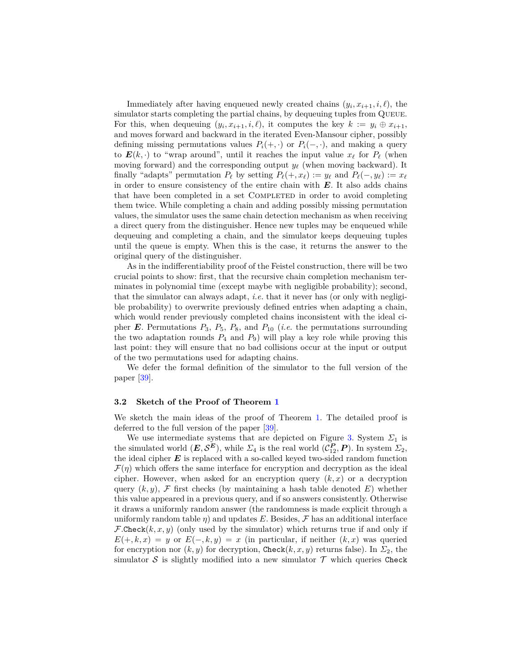Immediately after having enqueued newly created chains  $(y_i, x_{i+1}, i, \ell)$ , the simulator starts completing the partial chains, by dequeuing tuples from QUEUE. For this, when dequeuing  $(y_i, x_{i+1}, i, \ell)$ , it computes the key  $k := y_i \oplus x_{i+1}$ , and moves forward and backward in the iterated Even-Mansour cipher, possibly defining missing permutations values  $P_i(+, \cdot)$  or  $P_i(-, \cdot)$ , and making a query to  $E(k, \cdot)$  to "wrap around", until it reaches the input value  $x_\ell$  for  $P_\ell$  (when moving forward) and the corresponding output  $y_\ell$  (when moving backward). It finally "adapts" permutation  $P_\ell$  by setting  $P_\ell(+, x_\ell) := y_\ell$  and  $P_\ell(-, y_\ell) := x_\ell$ in order to ensure consistency of the entire chain with  $E$ . It also adds chains that have been completed in a set COMPLETED in order to avoid completing them twice. While completing a chain and adding possibly missing permutation values, the simulator uses the same chain detection mechanism as when receiving a direct query from the distinguisher. Hence new tuples may be enqueued while dequeuing and completing a chain, and the simulator keeps dequeuing tuples until the queue is empty. When this is the case, it returns the answer to the original query of the distinguisher.

As in the indifferentiability proof of the Feistel construction, there will be two crucial points to show: first, that the recursive chain completion mechanism terminates in polynomial time (except maybe with negligible probability); second, that the simulator can always adapt, *i.e.* that it never has (or only with negligible probability) to overwrite previously defined entries when adapting a chain, which would render previously completed chains inconsistent with the ideal cipher  $E$ . Permutations  $P_3$ ,  $P_5$ ,  $P_8$ , and  $P_{10}$  (*i.e.* the permutations surrounding the two adaptation rounds  $P_4$  and  $P_9$ ) will play a key role while proving this last point: they will ensure that no bad collisions occur at the input or output of the two permutations used for adapting chains.

We defer the formal definition of the simulator to the full version of the paper [\[39\]](#page-18-14).

#### **3.2 Sketch of the Proof of Theorem [1](#page-9-2)**

We sketch the main ideas of the proof of Theorem [1.](#page-9-2) The detailed proof is deferred to the full version of the paper [\[39\]](#page-18-14).

We use intermediate systems that are depicted on Figure [3.](#page-13-0) System  $\Sigma_1$  is the simulated world  $(E, S^E)$ , while  $\Sigma_4$  is the real world  $(C_{12}^P, P)$ . In system  $\Sigma_2$ , the ideal cipher  $E$  is replaced with a so-called keyed two-sided random function  $\mathcal{F}(n)$  which offers the same interface for encryption and decryption as the ideal cipher. However, when asked for an encryption query  $(k, x)$  or a decryption query  $(k, y)$ , F first checks (by maintaining a hash table denoted  $E$ ) whether this value appeared in a previous query, and if so answers consistently. Otherwise it draws a uniformly random answer (the randomness is made explicit through a uniformly random table  $\eta$ ) and updates E. Besides, F has an additional interface  $F$ *.Check* $(k, x, y)$  (only used by the simulator) which returns true if and only if  $E(+, k, x) = y$  or  $E(-, k, y) = x$  (in particular, if neither  $(k, x)$  was queried for encryption nor  $(k, y)$  for decryption, Check $(k, x, y)$  returns false). In  $\Sigma_2$ , the simulator  $S$  is slightly modified into a new simulator  $T$  which queries Check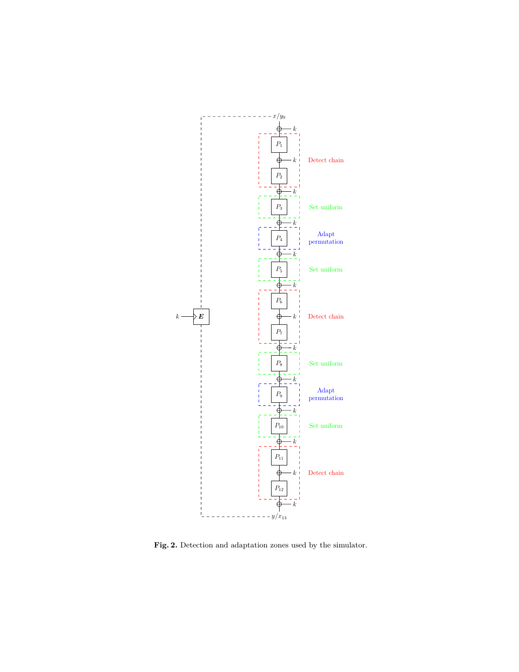

<span id="page-12-0"></span>**Fig. 2.** Detection and adaptation zones used by the simulator.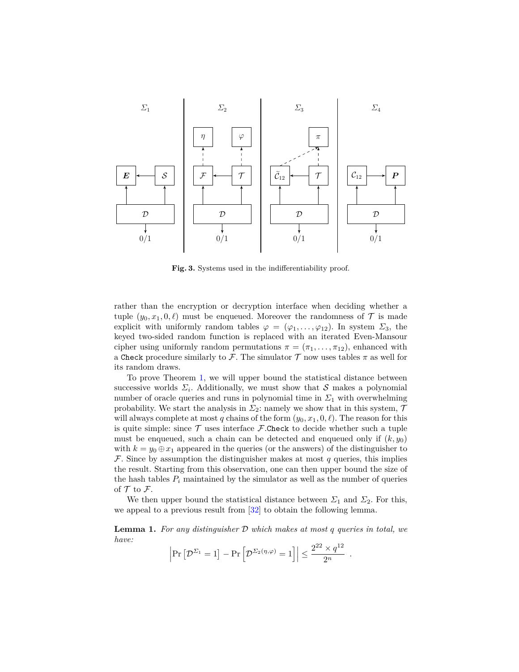![](_page_13_Figure_0.jpeg)

<span id="page-13-0"></span>**Fig. 3.** Systems used in the indifferentiability proof.

rather than the encryption or decryption interface when deciding whether a tuple  $(y_0, x_1, 0, \ell)$  must be enqueued. Moreover the randomness of  $\mathcal T$  is made explicit with uniformly random tables  $\varphi = (\varphi_1, \ldots, \varphi_{12})$ . In system  $\Sigma_3$ , the keyed two-sided random function is replaced with an iterated Even-Mansour cipher using uniformly random permutations  $\pi = (\pi_1, \ldots, \pi_{12})$ , enhanced with a Check procedure similarly to F. The simulator  $T$  now uses tables  $\pi$  as well for its random draws.

To prove Theorem [1,](#page-9-2) we will upper bound the statistical distance between successive worlds  $\Sigma_i$ . Additionally, we must show that S makes a polynomial number of oracle queries and runs in polynomial time in  $\Sigma_1$  with overwhelming probability. We start the analysis in  $\Sigma_2$ : namely we show that in this system,  $\mathcal T$ will always complete at most *q* chains of the form  $(y_0, x_1, 0, \ell)$ . The reason for this is quite simple: since  $\mathcal T$  uses interface  $\mathcal F$ .Check to decide whether such a tuple must be enqueued, such a chain can be detected and enqueued only if  $(k, y_0)$ with  $k = y_0 \oplus x_1$  appeared in the queries (or the answers) of the distinguisher to F. Since by assumption the distinguisher makes at most *q* queries, this implies the result. Starting from this observation, one can then upper bound the size of the hash tables  $P_i$  maintained by the simulator as well as the number of queries of  ${\mathcal T}$  to  ${\mathcal F}.$ 

We then upper bound the statistical distance between  $\Sigma_1$  and  $\Sigma_2$ . For this, we appeal to a previous result from [\[32\]](#page-18-12) to obtain the following lemma.

<span id="page-13-1"></span>**Lemma 1.** *For any distinguisher* D *which makes at most q queries in total, we have:*

$$
\left|\Pr\left[\mathcal{D}^{\Sigma_1} = 1\right] - \Pr\left[\mathcal{D}^{\Sigma_2(\eta,\varphi)} = 1\right]\right| \le \frac{2^{22} \times q^{12}}{2^n}.
$$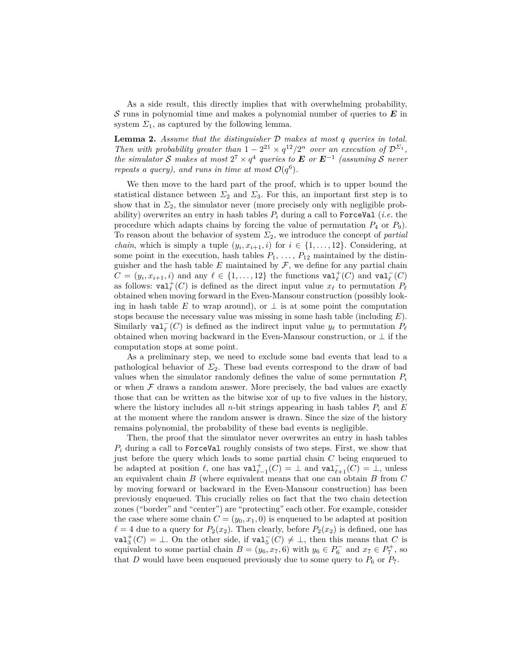As a side result, this directly implies that with overwhelming probability, S runs in polynomial time and makes a polynomial number of queries to *E* in system  $\Sigma_1$ , as captured by the following lemma.

<span id="page-14-0"></span>**Lemma 2.** *Assume that the distinguisher* D *makes at most q queries in total. Then with probability greater than*  $1 - 2^{21} \times q^{12}/2^n$  *over an execution of*  $D^{\Sigma_1}$ ,  $the \; simulator\; S\; makes\; at\; most\; 2^7 \times q^4\; queries\; to\; E\; or\; E^{-1}\; (assuming\; S\; never\; t\; or\; t\; or\; t\; or\; t\; or\; t\; or\; t\; or\; t\; or\; t\; or\; t\; or\; t\; or\; t\; or\; t\; or\; t\; or\; t\; or\; t\; or\; t\; or\; t\; or\; t\; or\; t\; or\; t\; or\; t\; or\; t\; or\; t\; or\; t\; or\; t\; or\; t\; or\; t\; or\; t\$ *repeats a query), and runs in time at most*  $\mathcal{O}(q^6)$ .

We then move to the hard part of the proof, which is to upper bound the statistical distance between  $\Sigma_2$  and  $\Sigma_3$ . For this, an important first step is to show that in  $\Sigma_2$ , the simulator never (more precisely only with negligible probability) overwrites an entry in hash tables  $P_i$  during a call to ForceVal (*i.e.* the procedure which adapts chains by forcing the value of permutation  $P_4$  or  $P_9$ ). To reason about the behavior of system *Σ*2, we introduce the concept of *partial chain*, which is simply a tuple  $(y_i, x_{i+1}, i)$  for  $i \in \{1, ..., 12\}$ . Considering, at some point in the execution, hash tables  $P_1, \ldots, P_{12}$  maintained by the distinguisher and the hash table  $E$  maintained by  $\mathcal{F}$ , we define for any partial chain  $C = (y_i, x_{i+1}, i)$  and any  $\ell \in \{1, \ldots, 12\}$  the functions  $\text{val}_{\ell}^+(C)$  and  $\text{val}_{\ell}^-(C)$ as follows:  $\text{val}_{\ell}(C)$  is defined as the direct input value  $x_{\ell}$  to permutation  $P_{\ell}$ obtained when moving forward in the Even-Mansour construction (possibly looking in hash table *E* to wrap around), or  $\perp$  is at some point the computation stops because the necessary value was missing in some hash table (including *E*). Similarly **val**<sub> $\ell$ </sub><sup> $\in$ </sup> (*C*) is defined as the indirect input value  $y_{\ell}$  to permutation  $P_{\ell}$ obtained when moving backward in the Even-Mansour construction, or  $\perp$  if the computation stops at some point.

As a preliminary step, we need to exclude some bad events that lead to a pathological behavior of  $\Sigma_2$ . These bad events correspond to the draw of bad values when the simulator randomly defines the value of some permutation  $P_i$ or when  $\mathcal F$  draws a random answer. More precisely, the bad values are exactly those that can be written as the bitwise xor of up to five values in the history, where the history includes all *n*-bit strings appearing in hash tables  $P_i$  and  $E$ at the moment where the random answer is drawn. Since the size of the history remains polynomial, the probability of these bad events is negligible.

Then, the proof that the simulator never overwrites an entry in hash tables  $P_i$  during a call to ForceVal roughly consists of two steps. First, we show that just before the query which leads to some partial chain *C* being enqueued to be adapted at position  $\ell$ , one has  $\text{val}_{\ell-1}^+(C) = \bot$  and  $\text{val}_{\ell+1}^-(C) = \bot$ , unless an equivalent chain *B* (where equivalent means that one can obtain *B* from *C* by moving forward or backward in the Even-Mansour construction) has been previously enqueued. This crucially relies on fact that the two chain detection zones ("border" and "center") are "protecting" each other. For example, consider the case where some chain  $C = (y_0, x_1, 0)$  is enqueued to be adapted at position  $\ell = 4$  due to a query for  $P_2(x_2)$ . Then clearly, before  $P_2(x_2)$  is defined, one has val<sup>+</sup><sub>3</sub><sup> $+$ </sup>(*C*) = ⊥. On the other side, if val<sub>5</sub><sup> $-$ </sup>(*C*)  $\neq$  ⊥, then this means that *C* is equivalent to some partial chain  $B = (y_6, x_7, 6)$  with  $y_6 \in P_6^-$  and  $x_7 \in P_7^+$ , so that *D* would have been enqueued previously due to some query to  $P_6$  or  $P_7$ .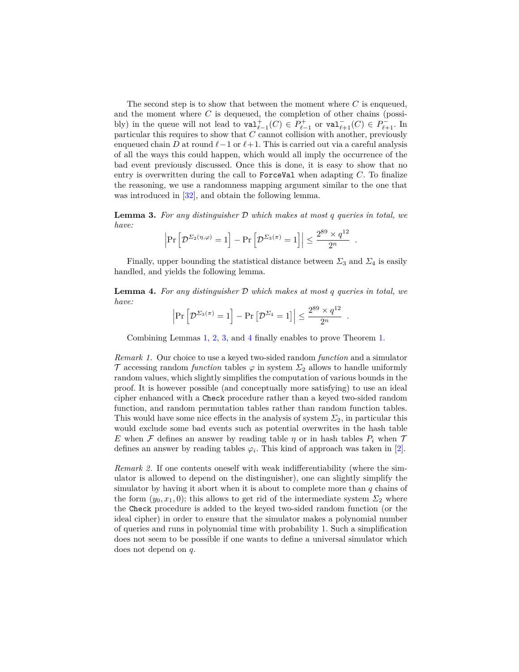The second step is to show that between the moment where *C* is enqueued, and the moment where *C* is dequeued, the completion of other chains (possibly) in the queue will not lead to  $\text{val}_{\ell-1}^+(C) \in P_{\ell-1}^+$  or  $\text{val}_{\ell+1}^-(C) \in P_{\ell+1}^-$ . In particular this requires to show that *C* cannot collision with another, previously enqueued chain *D* at round  $\ell$ −1 or  $\ell$ +1. This is carried out via a careful analysis of all the ways this could happen, which would all imply the occurrence of the bad event previously discussed. Once this is done, it is easy to show that no entry is overwritten during the call to ForceVal when adapting *C*. To finalize the reasoning, we use a randomness mapping argument similar to the one that was introduced in [\[32\]](#page-18-12), and obtain the following lemma.

<span id="page-15-0"></span>**Lemma 3.** *For any distinguisher* D *which makes at most q queries in total, we have:*

$$
\left|\Pr\left[\mathcal{D}^{\Sigma_2(\eta,\varphi)}=1\right]-\Pr\left[\mathcal{D}^{\Sigma_3(\pi)}=1\right]\right|\leq \frac{2^{89}\times q^{12}}{2^n}
$$

*.*

Finally, upper bounding the statistical distance between  $\Sigma_3$  and  $\Sigma_4$  is easily handled, and yields the following lemma.

<span id="page-15-1"></span>**Lemma 4.** *For any distinguisher* D *which makes at most q queries in total, we have:*

$$
\left|\Pr\left[\mathcal{D}^{\Sigma_3(\pi)}=1\right]-\Pr\left[\mathcal{D}^{\Sigma_4}=1\right]\right|\leq \frac{2^{89}\times q^{12}}{2^n}.
$$

Combining Lemmas [1,](#page-13-1) [2,](#page-14-0) [3,](#page-15-0) and [4](#page-15-1) finally enables to prove Theorem [1.](#page-9-2)

*Remark 1.* Our choice to use a keyed two-sided random *function* and a simulator T accessing random *function* tables  $\varphi$  in system  $\Sigma_2$  allows to handle uniformly random values, which slightly simplifies the computation of various bounds in the proof. It is however possible (and conceptually more satisfying) to use an ideal cipher enhanced with a Check procedure rather than a keyed two-sided random function, and random permutation tables rather than random function tables. This would have some nice effects in the analysis of system  $\Sigma_2$ , in particular this would exclude some bad events such as potential overwrites in the hash table *E* when *F* defines an answer by reading table *η* or in hash tables  $P_i$  when  $T$ defines an answer by reading tables  $\varphi_i$ . This kind of approach was taken in [\[2\]](#page-16-12).

*Remark 2.* If one contents oneself with weak indifferentiability (where the simulator is allowed to depend on the distinguisher), one can slightly simplify the simulator by having it abort when it is about to complete more than *q* chains of the form  $(y_0, x_1, 0)$ ; this allows to get rid of the intermediate system  $\Sigma_2$  where the Check procedure is added to the keyed two-sided random function (or the ideal cipher) in order to ensure that the simulator makes a polynomial number of queries and runs in polynomial time with probability 1. Such a simplification does not seem to be possible if one wants to define a universal simulator which does not depend on *q*.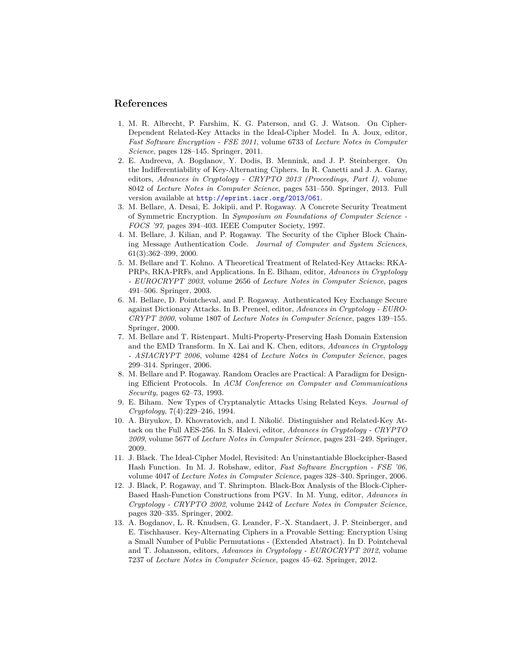## **References**

- <span id="page-16-4"></span>1. M. R. Albrecht, P. Farshim, K. G. Paterson, and G. J. Watson. On Cipher-Dependent Related-Key Attacks in the Ideal-Cipher Model. In A. Joux, editor, *Fast Software Encryption - FSE 2011*, volume 6733 of *Lecture Notes in Computer Science*, pages 128–145. Springer, 2011.
- <span id="page-16-12"></span>2. E. Andreeva, A. Bogdanov, Y. Dodis, B. Mennink, and J. P. Steinberger. On the Indifferentiability of Key-Alternating Ciphers. In R. Canetti and J. A. Garay, editors, *Advances in Cryptology - CRYPTO 2013 (Proceedings, Part I)*, volume 8042 of *Lecture Notes in Computer Science*, pages 531–550. Springer, 2013. Full version available at <http://eprint.iacr.org/2013/061>.
- <span id="page-16-0"></span>3. M. Bellare, A. Desai, E. Jokipii, and P. Rogaway. A Concrete Security Treatment of Symmetric Encryption. In *Symposium on Foundations of Computer Science - FOCS '97*, pages 394–403. IEEE Computer Society, 1997.
- <span id="page-16-1"></span>4. M. Bellare, J. Kilian, and P. Rogaway. The Security of the Cipher Block Chaining Message Authentication Code. *Journal of Computer and System Sciences*, 61(3):362–399, 2000.
- <span id="page-16-3"></span>5. M. Bellare and T. Kohno. A Theoretical Treatment of Related-Key Attacks: RKA-PRPs, RKA-PRFs, and Applications. In E. Biham, editor, *Advances in Cryptology - EUROCRYPT 2003*, volume 2656 of *Lecture Notes in Computer Science*, pages 491–506. Springer, 2003.
- <span id="page-16-8"></span>6. M. Bellare, D. Pointcheval, and P. Rogaway. Authenticated Key Exchange Secure against Dictionary Attacks. In B. Preneel, editor, *Advances in Cryptology - EURO-CRYPT 2000*, volume 1807 of *Lecture Notes in Computer Science*, pages 139–155. Springer, 2000.
- <span id="page-16-7"></span>7. M. Bellare and T. Ristenpart. Multi-Property-Preserving Hash Domain Extension and the EMD Transform. In X. Lai and K. Chen, editors, *Advances in Cryptology - ASIACRYPT 2006*, volume 4284 of *Lecture Notes in Computer Science*, pages 299–314. Springer, 2006.
- <span id="page-16-5"></span>8. M. Bellare and P. Rogaway. Random Oracles are Practical: A Paradigm for Designing Efficient Protocols. In *ACM Conference on Computer and Communications Security*, pages 62–73, 1993.
- <span id="page-16-2"></span>9. E. Biham. New Types of Cryptanalytic Attacks Using Related Keys. *Journal of Cryptology*, 7(4):229–246, 1994.
- <span id="page-16-10"></span>10. A. Biryukov, D. Khovratovich, and I. Nikolić. Distinguisher and Related-Key Attack on the Full AES-256. In S. Halevi, editor, *Advances in Cryptology - CRYPTO 2009*, volume 5677 of *Lecture Notes in Computer Science*, pages 231–249. Springer, 2009.
- <span id="page-16-9"></span>11. J. Black. The Ideal-Cipher Model, Revisited: An Uninstantiable Blockcipher-Based Hash Function. In M. J. Robshaw, editor, *Fast Software Encryption - FSE '06*, volume 4047 of *Lecture Notes in Computer Science*, pages 328–340. Springer, 2006.
- <span id="page-16-6"></span>12. J. Black, P. Rogaway, and T. Shrimpton. Black-Box Analysis of the Block-Cipher-Based Hash-Function Constructions from PGV. In M. Yung, editor, *Advances in Cryptology - CRYPTO 2002*, volume 2442 of *Lecture Notes in Computer Science*, pages 320–335. Springer, 2002.
- <span id="page-16-11"></span>13. A. Bogdanov, L. R. Knudsen, G. Leander, F.-X. Standaert, J. P. Steinberger, and E. Tischhauser. Key-Alternating Ciphers in a Provable Setting: Encryption Using a Small Number of Public Permutations - (Extended Abstract). In D. Pointcheval and T. Johansson, editors, *Advances in Cryptology - EUROCRYPT 2012*, volume 7237 of *Lecture Notes in Computer Science*, pages 45–62. Springer, 2012.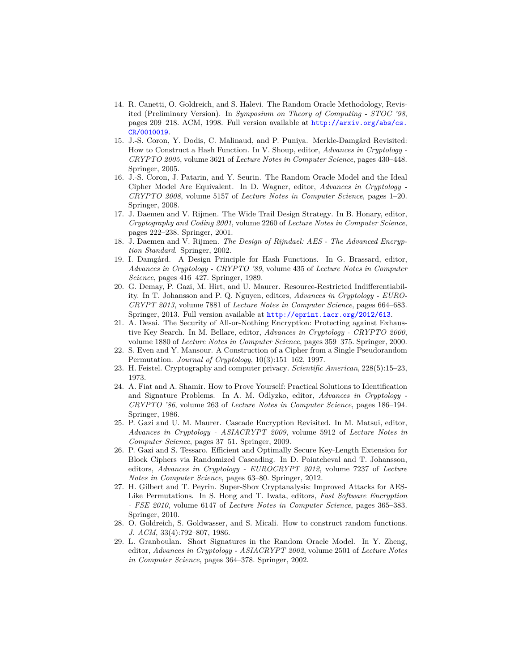- <span id="page-17-9"></span>14. R. Canetti, O. Goldreich, and S. Halevi. The Random Oracle Methodology, Revisited (Preliminary Version). In *Symposium on Theory of Computing - STOC '98*, pages 209–218. ACM, 1998. Full version available at [http://arxiv.org/abs/cs.](http://arxiv.org/abs/cs.CR/0010019) [CR/0010019](http://arxiv.org/abs/cs.CR/0010019).
- <span id="page-17-11"></span>15. J.-S. Coron, Y. Dodis, C. Malinaud, and P. Puniya. Merkle-Damgård Revisited: How to Construct a Hash Function. In V. Shoup, editor, *Advances in Cryptology - CRYPTO 2005*, volume 3621 of *Lecture Notes in Computer Science*, pages 430–448. Springer, 2005.
- <span id="page-17-13"></span>16. J.-S. Coron, J. Patarin, and Y. Seurin. The Random Oracle Model and the Ideal Cipher Model Are Equivalent. In D. Wagner, editor, *Advances in Cryptology - CRYPTO 2008*, volume 5157 of *Lecture Notes in Computer Science*, pages 1–20. Springer, 2008.
- <span id="page-17-1"></span>17. J. Daemen and V. Rijmen. The Wide Trail Design Strategy. In B. Honary, editor, *Cryptography and Coding 2001*, volume 2260 of *Lecture Notes in Computer Science*, pages 222–238. Springer, 2001.
- <span id="page-17-2"></span>18. J. Daemen and V. Rijmen. *The Design of Rijndael: AES - The Advanced Encryption Standard*. Springer, 2002.
- <span id="page-17-12"></span>19. I. Damgård. A Design Principle for Hash Functions. In G. Brassard, editor, *Advances in Cryptology - CRYPTO '89*, volume 435 of *Lecture Notes in Computer Science*, pages 416–427. Springer, 1989.
- <span id="page-17-14"></span>20. G. Demay, P. Gazi, M. Hirt, and U. Maurer. Resource-Restricted Indifferentiability. In T. Johansson and P. Q. Nguyen, editors, *Advances in Cryptology - EURO-CRYPT 2013*, volume 7881 of *Lecture Notes in Computer Science*, pages 664–683. Springer, 2013. Full version available at <http://eprint.iacr.org/2012/613>.
- <span id="page-17-5"></span>21. A. Desai. The Security of All-or-Nothing Encryption: Protecting against Exhaustive Key Search. In M. Bellare, editor, *Advances in Cryptology - CRYPTO 2000*, volume 1880 of *Lecture Notes in Computer Science*, pages 359–375. Springer, 2000.
- <span id="page-17-15"></span>22. S. Even and Y. Mansour. A Construction of a Cipher from a Single Pseudorandom Permutation. *Journal of Cryptology*, 10(3):151–162, 1997.
- <span id="page-17-0"></span>23. H. Feistel. Cryptography and computer privacy. *Scientific American*, 228(5):15–23, 1973.
- <span id="page-17-4"></span>24. A. Fiat and A. Shamir. How to Prove Yourself: Practical Solutions to Identification and Signature Problems. In A. M. Odlyzko, editor, *Advances in Cryptology - CRYPTO '86*, volume 263 of *Lecture Notes in Computer Science*, pages 186–194. Springer, 1986.
- <span id="page-17-6"></span>25. P. Gazi and U. M. Maurer. Cascade Encryption Revisited. In M. Matsui, editor, *Advances in Cryptology - ASIACRYPT 2009*, volume 5912 of *Lecture Notes in Computer Science*, pages 37–51. Springer, 2009.
- <span id="page-17-7"></span>26. P. Gazi and S. Tessaro. Efficient and Optimally Secure Key-Length Extension for Block Ciphers via Randomized Cascading. In D. Pointcheval and T. Johansson, editors, *Advances in Cryptology - EUROCRYPT 2012*, volume 7237 of *Lecture Notes in Computer Science*, pages 63–80. Springer, 2012.
- <span id="page-17-10"></span>27. H. Gilbert and T. Peyrin. Super-Sbox Cryptanalysis: Improved Attacks for AES-Like Permutations. In S. Hong and T. Iwata, editors, *Fast Software Encryption - FSE 2010*, volume 6147 of *Lecture Notes in Computer Science*, pages 365–383. Springer, 2010.
- <span id="page-17-3"></span>28. O. Goldreich, S. Goldwasser, and S. Micali. How to construct random functions. *J. ACM*, 33(4):792–807, 1986.
- <span id="page-17-8"></span>29. L. Granboulan. Short Signatures in the Random Oracle Model. In Y. Zheng, editor, *Advances in Cryptology - ASIACRYPT 2002*, volume 2501 of *Lecture Notes in Computer Science*, pages 364–378. Springer, 2002.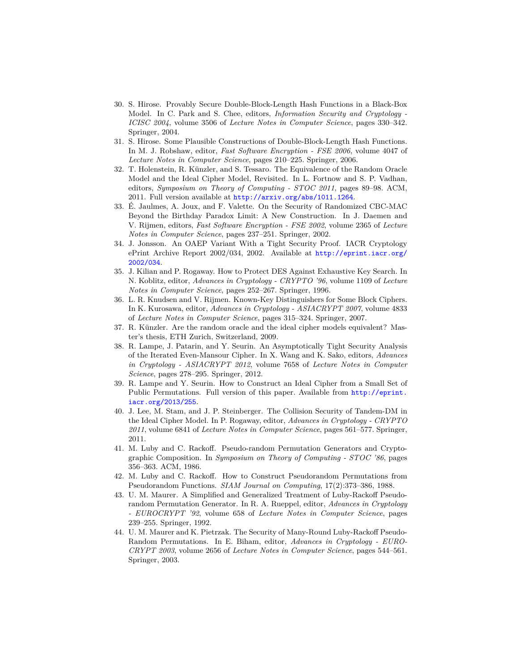- <span id="page-18-4"></span>30. S. Hirose. Provably Secure Double-Block-Length Hash Functions in a Black-Box Model. In C. Park and S. Chee, editors, *Information Security and Cryptology - ICISC 2004*, volume 3506 of *Lecture Notes in Computer Science*, pages 330–342. Springer, 2004.
- <span id="page-18-5"></span>31. S. Hirose. Some Plausible Constructions of Double-Block-Length Hash Functions. In M. J. Robshaw, editor, *Fast Software Encryption - FSE 2006*, volume 4047 of *Lecture Notes in Computer Science*, pages 210–225. Springer, 2006.
- <span id="page-18-12"></span>32. T. Holenstein, R. Künzler, and S. Tessaro. The Equivalence of the Random Oracle Model and the Ideal Cipher Model, Revisited. In L. Fortnow and S. P. Vadhan, editors, *Symposium on Theory of Computing - STOC 2011*, pages 89–98. ACM, 2011. Full version available at <http://arxiv.org/abs/1011.1264>.
- <span id="page-18-8"></span>33. É. Jaulmes, A. Joux, and F. Valette. On the Security of Randomized CBC-MAC Beyond the Birthday Paradox Limit: A New Construction. In J. Daemen and V. Rijmen, editors, *Fast Software Encryption - FSE 2002*, volume 2365 of *Lecture Notes in Computer Science*, pages 237–251. Springer, 2002.
- <span id="page-18-9"></span>34. J. Jonsson. An OAEP Variant With a Tight Security Proof. IACR Cryptology ePrint Archive Report 2002/034, 2002. Available at [http://eprint.iacr.org/](http://eprint.iacr.org/2002/034) [2002/034](http://eprint.iacr.org/2002/034).
- <span id="page-18-7"></span>35. J. Kilian and P. Rogaway. How to Protect DES Against Exhaustive Key Search. In N. Koblitz, editor, *Advances in Cryptology - CRYPTO '96*, volume 1109 of *Lecture Notes in Computer Science*, pages 252–267. Springer, 1996.
- <span id="page-18-10"></span>36. L. R. Knudsen and V. Rijmen. Known-Key Distinguishers for Some Block Ciphers. In K. Kurosawa, editor, *Advances in Cryptology - ASIACRYPT 2007*, volume 4833 of *Lecture Notes in Computer Science*, pages 315–324. Springer, 2007.
- <span id="page-18-11"></span>37. R. Künzler. Are the random oracle and the ideal cipher models equivalent? Master's thesis, ETH Zurich, Switzerland, 2009.
- <span id="page-18-13"></span>38. R. Lampe, J. Patarin, and Y. Seurin. An Asymptotically Tight Security Analysis of the Iterated Even-Mansour Cipher. In X. Wang and K. Sako, editors, *Advances in Cryptology - ASIACRYPT 2012*, volume 7658 of *Lecture Notes in Computer Science*, pages 278–295. Springer, 2012.
- <span id="page-18-14"></span>39. R. Lampe and Y. Seurin. How to Construct an Ideal Cipher from a Small Set of Public Permutations. Full version of this paper. Available from [http://eprint.](http://eprint.iacr.org/2013/255) [iacr.org/2013/255](http://eprint.iacr.org/2013/255).
- <span id="page-18-6"></span>40. J. Lee, M. Stam, and J. P. Steinberger. The Collision Security of Tandem-DM in the Ideal Cipher Model. In P. Rogaway, editor, *Advances in Cryptology - CRYPTO 2011*, volume 6841 of *Lecture Notes in Computer Science*, pages 561–577. Springer, 2011.
- <span id="page-18-0"></span>41. M. Luby and C. Rackoff. Pseudo-random Permutation Generators and Cryptographic Composition. In *Symposium on Theory of Computing - STOC '86*, pages 356–363. ACM, 1986.
- <span id="page-18-1"></span>42. M. Luby and C. Rackoff. How to Construct Pseudorandom Permutations from Pseudorandom Functions. *SIAM Journal on Computing*, 17(2):373–386, 1988.
- <span id="page-18-2"></span>43. U. M. Maurer. A Simplified and Generalized Treatment of Luby-Rackoff Pseudorandom Permutation Generator. In R. A. Rueppel, editor, *Advances in Cryptology - EUROCRYPT '92*, volume 658 of *Lecture Notes in Computer Science*, pages 239–255. Springer, 1992.
- <span id="page-18-3"></span>44. U. M. Maurer and K. Pietrzak. The Security of Many-Round Luby-Rackoff Pseudo-Random Permutations. In E. Biham, editor, *Advances in Cryptology - EURO-CRYPT 2003*, volume 2656 of *Lecture Notes in Computer Science*, pages 544–561. Springer, 2003.